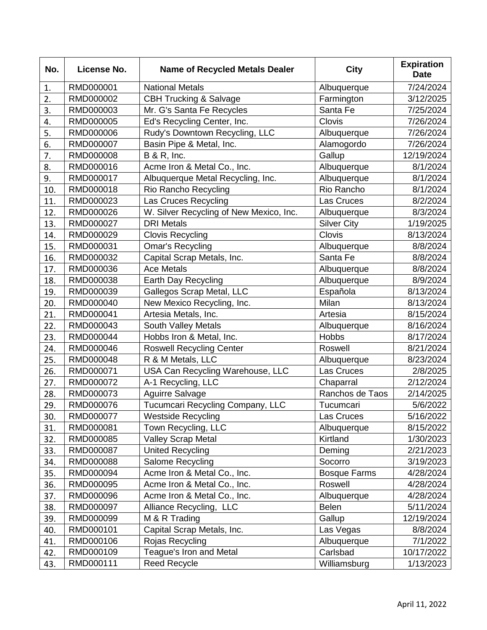| No. | License No. | <b>Name of Recycled Metals Dealer</b>   | <b>City</b>         | <b>Expiration</b><br><b>Date</b> |
|-----|-------------|-----------------------------------------|---------------------|----------------------------------|
| 1.  | RMD000001   | <b>National Metals</b>                  | Albuquerque         | 7/24/2024                        |
| 2.  | RMD000002   | <b>CBH Trucking &amp; Salvage</b>       | Farmington          | 3/12/2025                        |
| 3.  | RMD000003   | Mr. G's Santa Fe Recycles               | Santa Fe            | 7/25/2024                        |
| 4.  | RMD000005   | Ed's Recycling Center, Inc.             | Clovis              | 7/26/2024                        |
| 5.  | RMD000006   | Rudy's Downtown Recycling, LLC          | Albuquerque         | 7/26/2024                        |
| 6.  | RMD000007   | Basin Pipe & Metal, Inc.                | Alamogordo          | 7/26/2024                        |
| 7.  | RMD000008   | <b>B &amp; R, Inc.</b>                  | Gallup              | 12/19/2024                       |
| 8.  | RMD000016   | Acme Iron & Metal Co., Inc.             | Albuquerque         | 8/1/2024                         |
| 9.  | RMD000017   | Albuquerque Metal Recycling, Inc.       | Albuquerque         | 8/1/2024                         |
| 10. | RMD000018   | Rio Rancho Recycling                    | Rio Rancho          | 8/1/2024                         |
| 11. | RMD000023   | Las Cruces Recycling                    | Las Cruces          | 8/2/2024                         |
| 12. | RMD000026   | W. Silver Recycling of New Mexico, Inc. | Albuquerque         | 8/3/2024                         |
| 13. | RMD000027   | <b>DRI</b> Metals                       | <b>Silver City</b>  | 1/19/2025                        |
| 14. | RMD000029   | <b>Clovis Recycling</b>                 | <b>Clovis</b>       | 8/13/2024                        |
| 15. | RMD000031   | <b>Omar's Recycling</b>                 | Albuquerque         | 8/8/2024                         |
| 16. | RMD000032   | Capital Scrap Metals, Inc.              | Santa Fe            | 8/8/2024                         |
| 17. | RMD000036   | <b>Ace Metals</b>                       | Albuquerque         | 8/8/2024                         |
| 18. | RMD000038   | Earth Day Recycling                     | Albuquerque         | 8/9/2024                         |
| 19. | RMD000039   | Gallegos Scrap Metal, LLC               | Española            | 8/13/2024                        |
| 20. | RMD000040   | New Mexico Recycling, Inc.              | Milan               | 8/13/2024                        |
| 21. | RMD000041   | Artesia Metals, Inc.                    | Artesia             | 8/15/2024                        |
| 22. | RMD000043   | South Valley Metals                     | Albuquerque         | 8/16/2024                        |
| 23. | RMD000044   | Hobbs Iron & Metal, Inc.                | Hobbs               | 8/17/2024                        |
| 24. | RMD000046   | <b>Roswell Recycling Center</b>         | Roswell             | 8/21/2024                        |
| 25. | RMD000048   | R & M Metals, LLC                       | Albuquerque         | 8/23/2024                        |
| 26. | RMD000071   | USA Can Recycling Warehouse, LLC        | Las Cruces          | 2/8/2025                         |
| 27. | RMD000072   | A-1 Recycling, LLC                      | Chaparral           | 2/12/2024                        |
| 28. | RMD000073   | <b>Aguirre Salvage</b>                  | Ranchos de Taos     | 2/14/2025                        |
| 29. | RMD000076   | Tucumcari Recycling Company, LLC        | Tucumcari           | 5/6/2022                         |
| 30. | RMD000077   | <b>Westside Recycling</b>               | Las Cruces          | 5/16/2022                        |
| 31. | RMD000081   | Town Recycling, LLC                     | Albuquerque         | 8/15/2022                        |
| 32. | RMD000085   | <b>Valley Scrap Metal</b>               | Kirtland            | 1/30/2023                        |
| 33. | RMD000087   | <b>United Recycling</b>                 | Deming              | 2/21/2023                        |
| 34. | RMD000088   | Salome Recycling                        | Socorro             | 3/19/2023                        |
| 35. | RMD000094   | Acme Iron & Metal Co., Inc.             | <b>Bosque Farms</b> | 4/28/2024                        |
| 36. | RMD000095   | Acme Iron & Metal Co., Inc.             | Roswell             | 4/28/2024                        |
| 37. | RMD000096   | Acme Iron & Metal Co., Inc.             | Albuquerque         | 4/28/2024                        |
| 38. | RMD000097   | Alliance Recycling, LLC                 | <b>Belen</b>        | 5/11/2024                        |
| 39. | RMD000099   | M & R Trading                           | Gallup              | 12/19/2024                       |
| 40. | RMD000101   | Capital Scrap Metals, Inc.              | Las Vegas           | 8/8/2024                         |
| 41. | RMD000106   | Rojas Recycling                         | Albuquerque         | 7/1/2022                         |
| 42. | RMD000109   | Teague's Iron and Metal                 | Carlsbad            | 10/17/2022                       |
| 43. | RMD000111   | <b>Reed Recycle</b>                     | Williamsburg        | 1/13/2023                        |